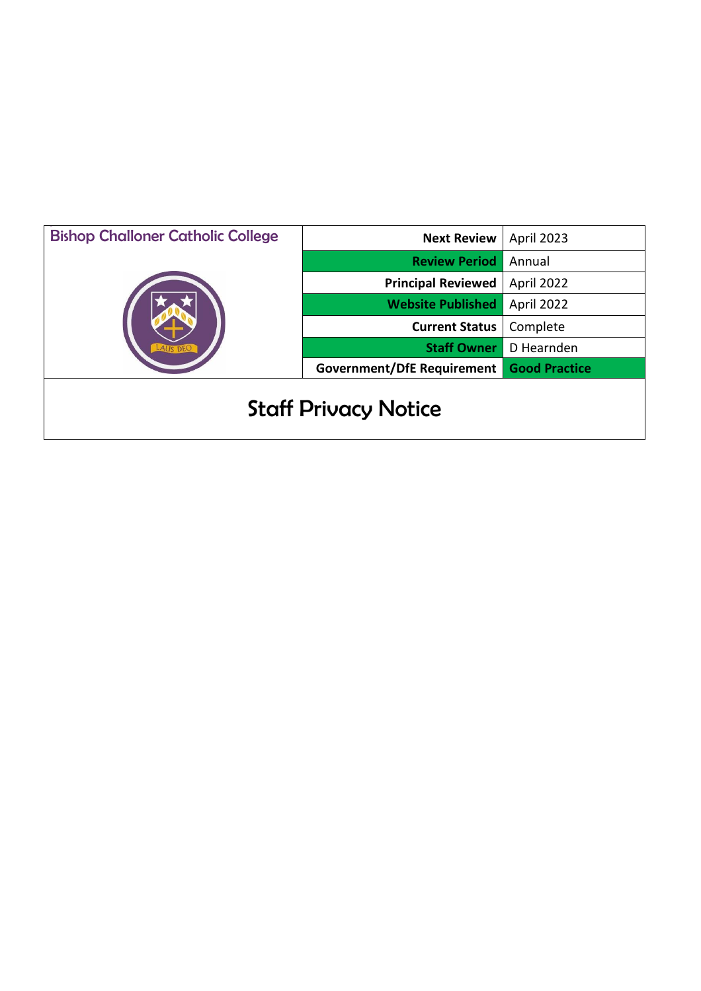| <b>Bishop Challoner Catholic College</b> | <b>Next Review</b>                | April 2023           |
|------------------------------------------|-----------------------------------|----------------------|
|                                          | <b>Review Period</b>              | Annual               |
|                                          | <b>Principal Reviewed</b>         | April 2022           |
|                                          | <b>Website Published</b>          | April 2022           |
|                                          | <b>Current Status</b>             | Complete             |
|                                          | <b>Staff Owner</b>                | D Hearnden           |
|                                          | <b>Government/DfE Requirement</b> | <b>Good Practice</b> |
| <b>Staff Privacy Notice</b>              |                                   |                      |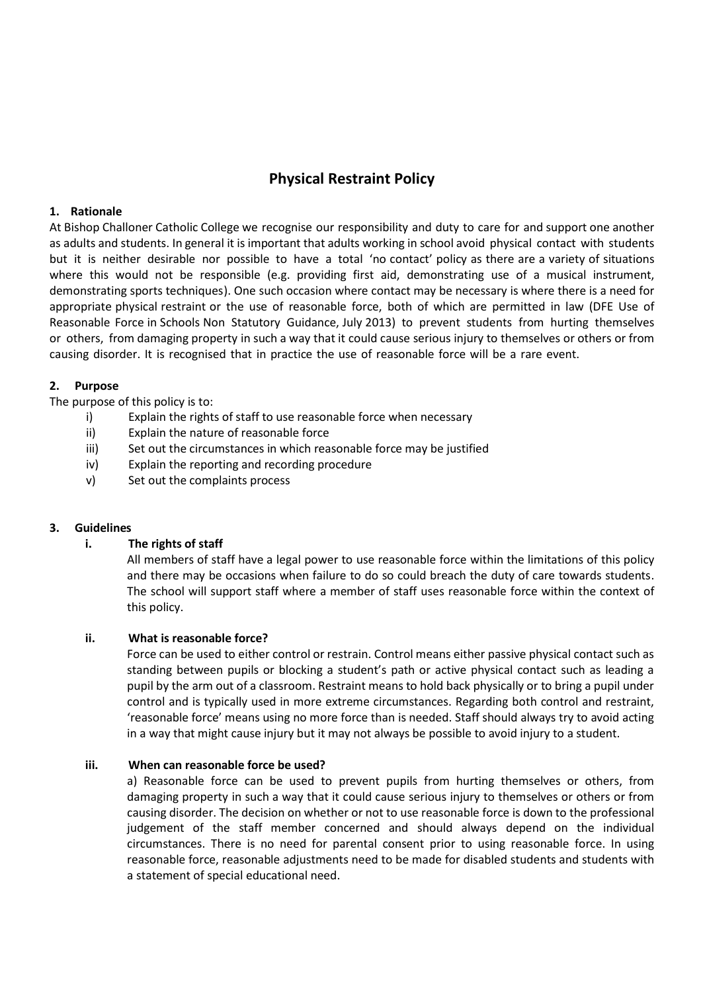# **Physical Restraint Policy**

## **1. Rationale**

At Bishop Challoner Catholic College we recognise our responsibility and duty to care for and support one another as adults and students. In general it is important that adults working in school avoid physical contact with students but it is neither desirable nor possible to have a total 'no contact' policy as there are a variety of situations where this would not be responsible (e.g. providing first aid, demonstrating use of a musical instrument, demonstrating sports techniques). One such occasion where contact may be necessary is where there is a need for appropriate physical restraint or the use of reasonable force, both of which are permitted in law (DFE Use of Reasonable Force in Schools Non Statutory Guidance, July 2013) to prevent students from hurting themselves or others, from damaging property in such a way that it could cause serious injury to themselves or others or from causing disorder. It is recognised that in practice the use of reasonable force will be a rare event.

# **2. Purpose**

The purpose of this policy is to:

- i) Explain the rights of staff to use reasonable force when necessary
- ii) Explain the nature of reasonable force
- iii) Set out the circumstances in which reasonable force may be justified
- iv) Explain the reporting and recording procedure
- v) Set out the complaints process

## **3. Guidelines**

# **i. The rights of staff**

All members of staff have a legal power to use reasonable force within the limitations of this policy and there may be occasions when failure to do so could breach the duty of care towards students. The school will support staff where a member of staff uses reasonable force within the context of this policy.

## **ii. What is reasonable force?**

Force can be used to either control or restrain. Control means either passive physical contact such as standing between pupils or blocking a student's path or active physical contact such as leading a pupil by the arm out of a classroom. Restraint means to hold back physically or to bring a pupil under control and is typically used in more extreme circumstances. Regarding both control and restraint, 'reasonable force' means using no more force than is needed. Staff should always try to avoid acting in a way that might cause injury but it may not always be possible to avoid injury to a student.

## **iii. When can reasonable force be used?**

a) Reasonable force can be used to prevent pupils from hurting themselves or others, from damaging property in such a way that it could cause serious injury to themselves or others or from causing disorder. The decision on whether or not to use reasonable force is down to the professional judgement of the staff member concerned and should always depend on the individual circumstances. There is no need for parental consent prior to using reasonable force. In using reasonable force, reasonable adjustments need to be made for disabled students and students with a statement of special educational need.